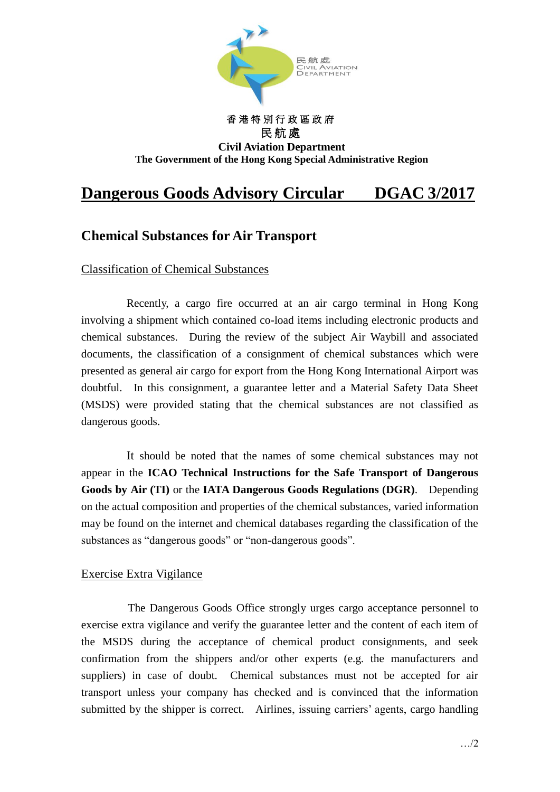

## 民航處 **Civil Aviation Department The Government of the Hong Kong Special Administrative Region**

香 港 特 別 行 政 區 政 府

## **Dangerous Goods Advisory Circular DGAC 3/2017**

## **Chemical Substances for Air Transport**

Classification of Chemical Substances

Recently, a cargo fire occurred at an air cargo terminal in Hong Kong involving a shipment which contained co-load items including electronic products and chemical substances. During the review of the subject Air Waybill and associated documents, the classification of a consignment of chemical substances which were presented as general air cargo for export from the Hong Kong International Airport was doubtful. In this consignment, a guarantee letter and a Material Safety Data Sheet (MSDS) were provided stating that the chemical substances are not classified as dangerous goods.

It should be noted that the names of some chemical substances may not appear in the **ICAO Technical Instructions for the Safe Transport of Dangerous Goods by Air (TI)** or the **IATA Dangerous Goods Regulations (DGR)**. Depending on the actual composition and properties of the chemical substances, varied information may be found on the internet and chemical databases regarding the classification of the substances as "dangerous goods" or "non-dangerous goods".

## Exercise Extra Vigilance

The Dangerous Goods Office strongly urges cargo acceptance personnel to exercise extra vigilance and verify the guarantee letter and the content of each item of the MSDS during the acceptance of chemical product consignments, and seek confirmation from the shippers and/or other experts (e.g. the manufacturers and suppliers) in case of doubt. Chemical substances must not be accepted for air transport unless your company has checked and is convinced that the information submitted by the shipper is correct. Airlines, issuing carriers' agents, cargo handling